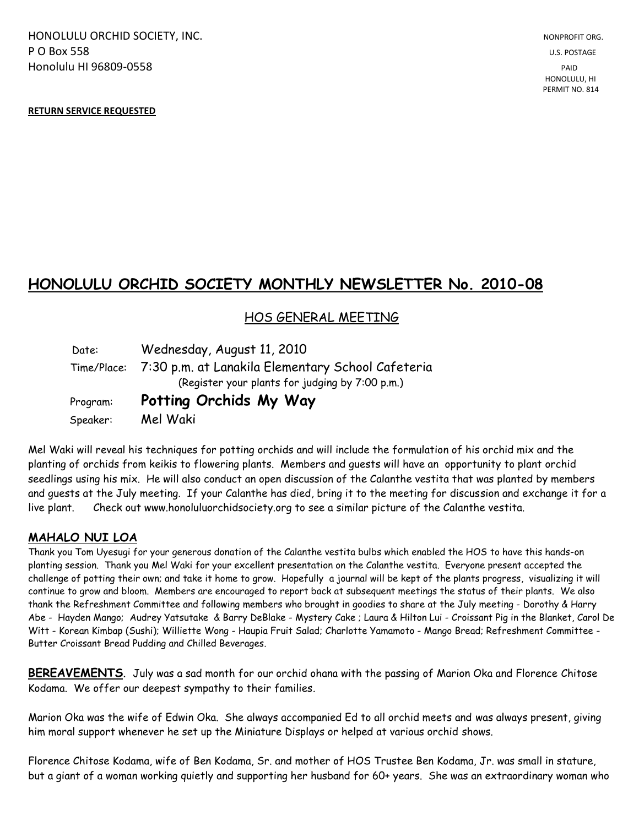HONOLULU ORCHID SOCIETY, INC. NONPROFIT ORG. NONPROFIT ORG. **P O Box 558** U.S. POSTAGE Honolulu HI 96809-0558 PAID

### **RETURN SERVICE REQUESTED**

# **HONOLULU ORCHID SOCIETY MONTHLY NEWSLETTER No. 2010-08**

## HOS GENERAL MEETING

 Date: Wednesday, August 11, 2010 Time/Place: 7:30 p.m. at Lanakila Elementary School Cafeteria (Register your plants for judging by 7:00 p.m.) Program: **Potting Orchids My Way** Speaker: Mel Waki

Mel Waki will reveal his techniques for potting orchids and will include the formulation of his orchid mix and the planting of orchids from keikis to flowering plants. Members and guests will have an opportunity to plant orchid seedlings using his mix. He will also conduct an open discussion of the Calanthe vestita that was planted by members and guests at the July meeting. If your Calanthe has died, bring it to the meeting for discussion and exchange it for a live plant. Check out www.honoluluorchidsociety.org to see a similar picture of the Calanthe vestita.

## **MAHALO NUI LOA**

Thank you Tom Uyesugi for your generous donation of the Calanthe vestita bulbs which enabled the HOS to have this hands-on planting session. Thank you Mel Waki for your excellent presentation on the Calanthe vestita. Everyone present accepted the challenge of potting their own; and take it home to grow. Hopefully a journal will be kept of the plants progress, visualizing it will continue to grow and bloom. Members are encouraged to report back at subsequent meetings the status of their plants. We also thank the Refreshment Committee and following members who brought in goodies to share at the July meeting - Dorothy & Harry Abe - Hayden Mango; Audrey Yatsutake & Barry DeBlake - Mystery Cake ; Laura & Hilton Lui - Croissant Pig in the Blanket, Carol De Witt - Korean Kimbap (Sushi); Williette Wong - Haupia Fruit Salad; Charlotte Yamamoto - Mango Bread; Refreshment Committee - Butter Croissant Bread Pudding and Chilled Beverages.

**BEREAVEMENTS**. July was a sad month for our orchid ohana with the passing of Marion Oka and Florence Chitose Kodama. We offer our deepest sympathy to their families.

Marion Oka was the wife of Edwin Oka. She always accompanied Ed to all orchid meets and was always present, giving him moral support whenever he set up the Miniature Displays or helped at various orchid shows.

Florence Chitose Kodama, wife of Ben Kodama, Sr. and mother of HOS Trustee Ben Kodama, Jr. was small in stature, but a giant of a woman working quietly and supporting her husband for 60+ years. She was an extraordinary woman who